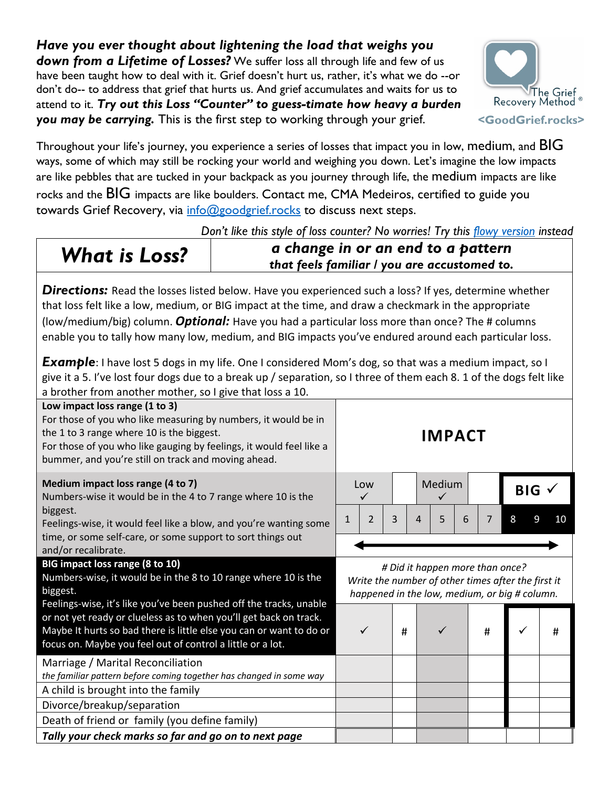## *Have you ever thought about lightening the load that weighs you*  **down from a Lifetime of Losses?** We suffer loss all through life and few of us have been taught how to deal with it. Grief doesn't hurt us, rather, it's what we do --or don't do-- to address that grief that hurts us. And grief accumulates and waits for us to attend to it. *Try out this Loss "Counter" to guess-timate how heavy a burden you may be carrying.* This is the first step to working through your grief.



Throughout your life's journey, you experience a series of losses that impact you in low, medium, and BIG ways, some of which may still be rocking your world and weighing you down. Let's imagine the low impacts are like pebbles that are tucked in your backpack as you journey through life, the medium impacts are like rocks and the  $BIG$  impacts are like boulders. Contact me, CMA Medeiros, certified to guide you towards Grief Recovery, via info@goodgrief.rocks to discuss next steps.

*Don't like this style of loss counter? No worries! Try this flowy version instead* 

*What is Loss? a change in or an end to a pattern that feels familiar / you are accustomed to.*

**Directions:** Read the losses listed below. Have you experienced such a loss? If yes, determine whether that loss felt like a low, medium, or BIG impact at the time, and draw a checkmark in the appropriate (low/medium/big) column. *Optional:* Have you had a particular loss more than once? The # columns enable you to tally how many low, medium, and BIG impacts you've endured around each particular loss.

**Example**: I have lost 5 dogs in my life. One I considered Mom's dog, so that was a medium impact, so I give it a 5. I've lost four dogs due to a break up / separation, so I three of them each 8. 1 of the dogs felt like a brother from another mother, so I give that loss a 10.

| Low impact loss range (1 to 3)<br>For those of you who like measuring by numbers, it would be in<br>the 1 to 3 range where 10 is the biggest.<br>For those of you who like gauging by feelings, it would feel like a<br>bummer, and you're still on track and moving ahead.                                                                                                                   | <b>IMPACT</b>                                                                                                                          |                |   |   |             |   |            |        |    |  |  |
|-----------------------------------------------------------------------------------------------------------------------------------------------------------------------------------------------------------------------------------------------------------------------------------------------------------------------------------------------------------------------------------------------|----------------------------------------------------------------------------------------------------------------------------------------|----------------|---|---|-------------|---|------------|--------|----|--|--|
| Medium impact loss range (4 to 7)<br>Numbers-wise it would be in the 4 to 7 range where 10 is the<br>biggest.<br>Feelings-wise, it would feel like a blow, and you're wanting some<br>time, or some self-care, or some support to sort things out<br>and/or recalibrate.                                                                                                                      | Low<br>✓                                                                                                                               |                |   |   | Medium<br>✓ |   | $BIG \vee$ |        |    |  |  |
|                                                                                                                                                                                                                                                                                                                                                                                               | 1                                                                                                                                      | $\overline{2}$ | 3 | 4 | 5           | 6 | 7          | 8<br>9 | 10 |  |  |
|                                                                                                                                                                                                                                                                                                                                                                                               |                                                                                                                                        |                |   |   |             |   |            |        |    |  |  |
| BIG impact loss range (8 to 10)<br>Numbers-wise, it would be in the 8 to 10 range where 10 is the<br>biggest.<br>Feelings-wise, it's like you've been pushed off the tracks, unable<br>or not yet ready or clueless as to when you'll get back on track.<br>Maybe It hurts so bad there is little else you can or want to do or<br>focus on. Maybe you feel out of control a little or a lot. | # Did it happen more than once?<br>Write the number of other times after the first it<br>happened in the low, medium, or big # column. |                |   |   |             |   |            |        |    |  |  |
|                                                                                                                                                                                                                                                                                                                                                                                               |                                                                                                                                        | ✓              | # |   |             |   | #          |        | #  |  |  |
| Marriage / Marital Reconciliation<br>the familiar pattern before coming together has changed in some way                                                                                                                                                                                                                                                                                      |                                                                                                                                        |                |   |   |             |   |            |        |    |  |  |
| A child is brought into the family                                                                                                                                                                                                                                                                                                                                                            |                                                                                                                                        |                |   |   |             |   |            |        |    |  |  |
| Divorce/breakup/separation                                                                                                                                                                                                                                                                                                                                                                    |                                                                                                                                        |                |   |   |             |   |            |        |    |  |  |
| Death of friend or family (you define family)                                                                                                                                                                                                                                                                                                                                                 |                                                                                                                                        |                |   |   |             |   |            |        |    |  |  |
| Tally your check marks so far and go on to next page                                                                                                                                                                                                                                                                                                                                          |                                                                                                                                        |                |   |   |             |   |            |        |    |  |  |